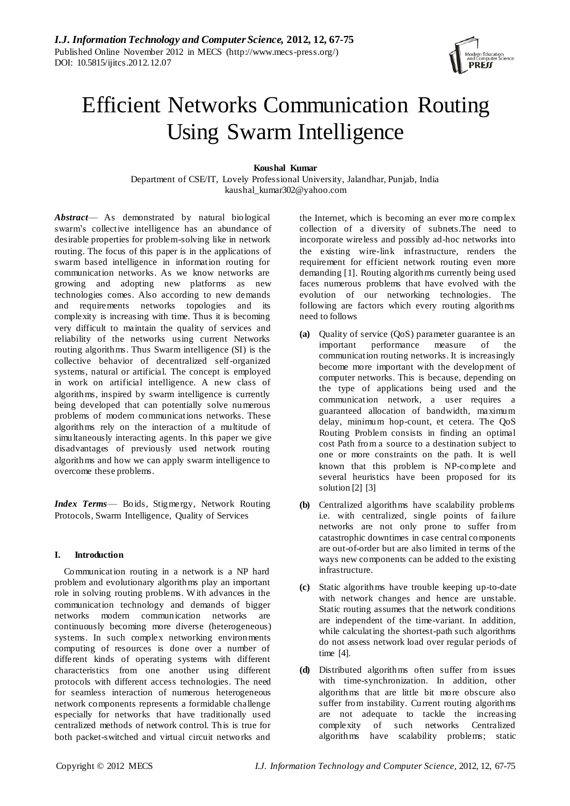

# Efficient Networks Communication Routing Using Swarm Intelligence

## **Koushal Kumar**

Department of CSE/IT, Lovely Professional University, Jalandhar, Punjab, India kaushal\_kumar302@yahoo.com

*Abstract*— As demonstrated by natural biological swarm's collective intelligence has an abundance of desirable properties for problem-solving like in network routing. The focus of this paper is in the applications of swarm based intelligence in information routing for communication networks. As we know networks are growing and adopting new platforms as new technologies comes. Also according to new demands and requirements networks topologies and its complexity is increasing with time. Thus it is becoming very difficult to maintain the quality of services and reliability of the networks using current Networks routing algorithms. Thus Swarm intelligence (SI) is the collective behavior of decentralized self-organized systems, natural or artificial. The concept is employed in work on artificial intelligence. A new class of algorithms, inspired by swarm intelligence is currently being developed that can potentially solve numerous problems of modern communications networks. These algorithms rely on the interaction of a multitude of simultaneously interacting agents. In this paper we give disadvantages of previously used network routing algorithms and how we can apply swarm intelligence to overcome these problems.

*Index Terms*— Boids, Stigmergy, Network Routing Protocols, Swarm Intelligence, Quality of Services

## **I. Introduction**

Communication routing in a network is a NP hard problem and evolutionary algorithms play an important role in solving routing problems. W ith advances in the communication technology and demands of bigger networks modern communication networks are continuously becoming more diverse (heterogeneous) systems. In such complex networking environments computing of resources is done over a number of different kinds of operating systems with different characteristics from one another using different protocols with different access technologies. The need for seamless interaction of numerous heterogeneous network components represents a formidable challenge especially for networks that have traditionally used centralized methods of network control. This is true for both packet-switched and virtual circuit networks and

the Internet, which is becoming an ever more complex collection of a diversity of subnets.The need to incorporate wireless and possibly ad-hoc networks into the existing wire-link infrastructure, renders the requirement for efficient network routing even more demanding [1]. Routing algorithms currently being used faces numerous problems that have evolved with the evolution of our networking technologies. The following are factors which every routing algorithms need to follows

- **(a)** Quality of service (QoS) parameter guarantee is an important performance measure of the communication routing networks. It is increasingly become more important with the development of computer networks. This is because, depending on the type of applications being used and the communication network, a user requires a guaranteed allocation of bandwidth, maximum delay, minimum hop-count, et cetera. The QoS Routing Problem consists in finding an optimal cost Path from a source to a destination subject to one or more constraints on the path. It is well known that this problem is NP-complete and several heuristics have been proposed for its solution [2] [3]
- **(b)** Centralized algorithms have scalability problems i.e. with centralized, single points of failure networks are not only prone to suffer from catastrophic downtimes in case central components are out-of-order but are also limited in terms of the ways new components can be added to the existing infrastructure.
- **(c)** Static algorithms have trouble keeping up-to-date with network changes and hence are unstable. Static routing assumes that the network conditions are independent of the time-variant. In addition, while calculating the shortest-path such algorithms do not assess network load over regular periods of time [4].
- **(d)** Distributed algorithms often suffer from issues with time-synchronization. In addition, other algorithms that are little bit more obscure also suffer from instability. Current routing algorithms are not adequate to tackle the increasing complexity of such networks Centralized algorithms have scalability problems; static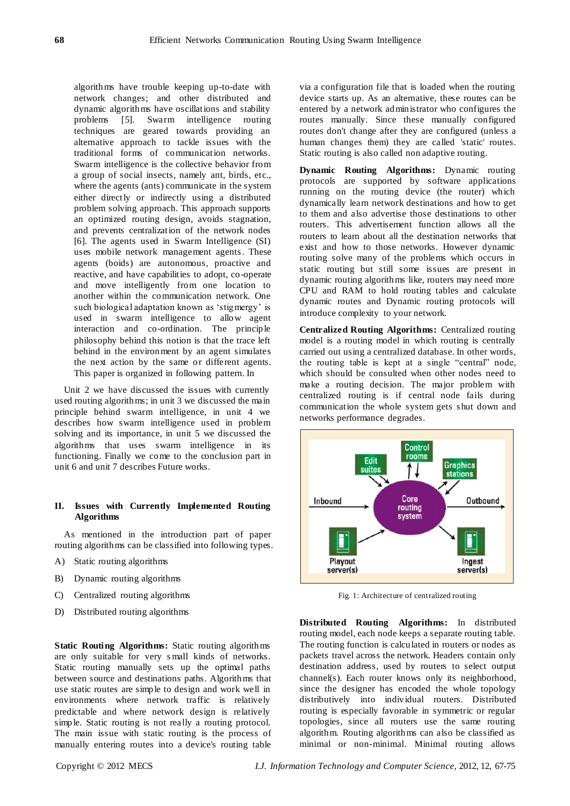algorithms have trouble keeping up-to-date with network changes; and other distributed and dynamic algorithms have oscillations and stability problems [5]. Swarm intelligence routing techniques are geared towards providing an alternative approach to tackle issues with the traditional forms of communication networks. Swarm intelligence is the collective behavior from a group of social insects, namely ant, birds, etc., where the agents (ants) communicate in the system either directly or indirectly using a distributed problem solving approach. This approach supports an optimized routing design, avoids stagnation, and prevents centralization of the network nodes [6]. The agents used in Swarm Intelligence (SI) uses mobile network management agents. These agents (boids) are autonomous, proactive and reactive, and have capabilities to adopt, co-operate and move intelligently from one location to another within the communication network. One such biological adaptation known as 'stigmergy' is used in swarm intelligence to allow agent interaction and co-ordination. The principle philosophy behind this notion is that the trace left behind in the environment by an agent simulates the next action by the same or different agents. This paper is organized in following pattern. In

Unit 2 we have discussed the issues with currently used routing algorithms; in unit 3 we discussed the main principle behind swarm intelligence, in unit 4 we describes how swarm intelligence used in problem solving and its importance, in unit 5 we discussed the algorithms that uses swarm intelligence in its functioning. Finally we come to the conclusion part in unit 6 and unit 7 describes Future works.

# **II. Issues with Currently Implemented Routing Algorithms**

As mentioned in the introduction part of paper routing algorithms can be classified into following types.

- A) Static routing algorithms
- B) Dynamic routing algorithms
- C) Centralized routing algorithms
- D) Distributed routing algorithms

**Static Routing Algorithms:** Static routing algorithms are only suitable for very s mall kinds of networks. Static routing manually sets up the optimal paths between source and destinations paths. Algorithms that use static routes are simple to design and work well in environments where network traffic is relatively predictable and where network design is relatively simple. Static routing is not really a routing protocol. The main issue with static routing is the process of manually entering routes into a device's routing table

via a configuration file that is loaded when the routing device starts up. As an alternative, these routes can be entered by a network administrator who configures the routes manually. Since these manually configured routes don't change after they are configured (unless a human changes them) they are called 'static' routes. Static routing is also called non adaptive routing.

**Dynamic Routing Algorithms:** Dynamic routing protocols are supported by software applications running on the routing device (the router) which dynamically learn network destinations and how to get to them and also advertise those destinations to other routers. This advertisement function allows all the routers to learn about all the destination networks that exist and how to those networks. However dynamic routing solve many of the problems which occurs in static routing but still some issues are present in dynamic routing algorithms like, routers may need more CPU and RAM to hold routing tables and calculate dynamic routes and Dynamic routing protocols will introduce complexity to your network.

**Centralized Routing Algorithms:** Centralized routing model is a routing model in which routing is centrally carried out using a centralized database. In other words, the routing table is kept at a single "central" node, which should be consulted when other nodes need to make a routing decision. The major problem with centralized routing is if central node fails during communication the whole system gets shut down and networks performance degrades.



Fig. 1: Architecture of centralized routing

**Distributed Routing Algorithms:** In distributed routing model, each node keeps a separate routing table. The routing function is calculated in routers or nodes as packets travel across the network. Headers contain only destination address, used by routers to select output channel(s). Each router knows only its neighborhood, since the designer has encoded the whole topology distributively into individual routers. Distributed routing is especially favorable in symmetric or regular topologies, since all routers use the same routing algorithm. Routing algorithms can also be classified as minimal or non-minimal. Minimal routing allows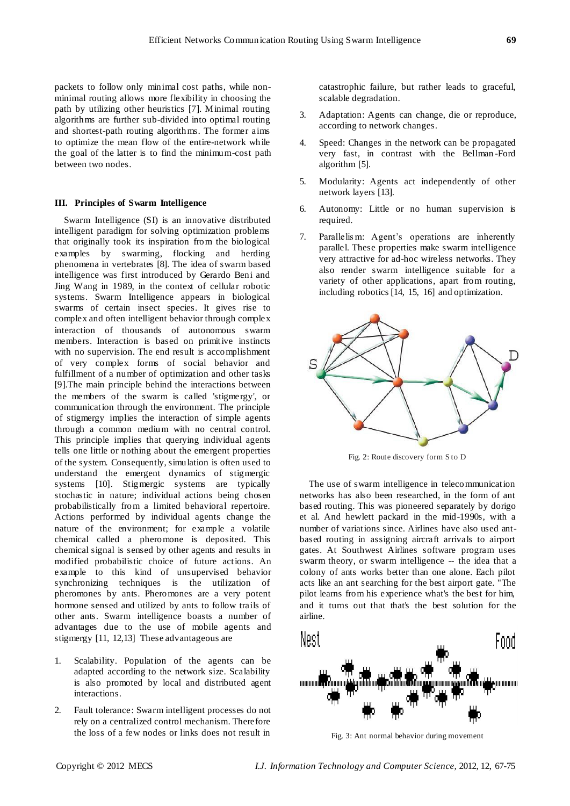packets to follow only minimal cost paths, while nonminimal routing allows more flexibility in choosing the path by utilizing other heuristics [7]. Minimal routing algorithms are further sub-divided into optimal routing and shortest-path routing algorithms. The former aims to optimize the mean flow of the entire-network while the goal of the latter is to find the minimum-cost path between two nodes.

### **III. Principles of Swarm Intelligence**

Swarm Intelligence (SI) is an innovative distributed intelligent paradigm for solving optimization problems that originally took its inspiration from the biological examples by swarming, flocking and herding phenomena in vertebrates [8]. The idea of swarm based intelligence was first introduced by Gerardo Beni and Jing Wang in 1989, in the context of cellular robotic systems. Swarm Intelligence appears in biological swarms of certain insect species. It gives rise to complex and often intelligent behavior through complex interaction of thousands of autonomous swarm members. Interaction is based on primitive instincts with no supervision. The end result is accomplishment of very complex forms of social behavior and fulfillment of a number of optimization and other tasks [9].The main principle behind the interactions between the members of the swarm is called 'stigmergy', or communication through the environment. The principle of stigmergy implies the interaction of simple agents through a common medium with no central control. This principle implies that querying individual agents tells one little or nothing about the emergent properties of the system. Consequently, simulation is often used to understand the emergent dynamics of stigmergic systems [10]. Stigmergic systems are typically stochastic in nature; individual actions being chosen probabilistically from a limited behavioral repertoire. Actions performed by individual agents change the nature of the environment; for example a volatile chemical called a pheromone is deposited. This chemical signal is sensed by other agents and results in modified probabilistic choice of future actions. An example to this kind of unsupervised behavior synchronizing techniques is the utilization of pheromones by ants. Pheromones are a very potent hormone sensed and utilized by ants to follow trails of other ants. Swarm intelligence boasts a number of advantages due to the use of mobile agents and stigmergy [11, 12,13] These advantageous are

- 1. Scalability. Population of the agents can be adapted according to the network size. Scalability is also promoted by local and distributed agent interactions.
- 2. Fault tolerance: Swarm intelligent processes do not rely on a centralized control mechanism. Therefore the loss of a few nodes or links does not result in

catastrophic failure, but rather leads to graceful, scalable degradation.

- 3. Adaptation: Agents can change, die or reproduce, according to network changes.
- 4. Speed: Changes in the network can be propagated very fast, in contrast with the Bellman -Ford algorithm [5].
- 5. Modularity: Agents act independently of other network layers [13].
- 6. Autonomy: Little or no human supervision is required.
- 7. Parallelis m: Agent's operations are inherently parallel. These properties make swarm intelligence very attractive for ad-hoc wireless networks. They also render swarm intelligence suitable for a variety of other applications, apart from routing, including robotics [14, 15, 16] and optimization.



Fig. 2: Route discovery form S to D

The use of swarm intelligence in telecommunication networks has also been researched, in the form of ant based routing. This was pioneered separately by dorigo et al. And hewlett packard in the mid-1990s, with a number of variations since. Airlines have also used antbased routing in assigning aircraft arrivals to airport gates. At Southwest Airlines software program uses swarm theory, or swarm intelligence -- the idea that a colony of ants works better than one alone. Each pilot acts like an ant searching for the best airport gate. "The pilot learns from his experience what's the best for him, and it turns out that that's the best solution for the airline.



Fig. 3: Ant normal behavior during movement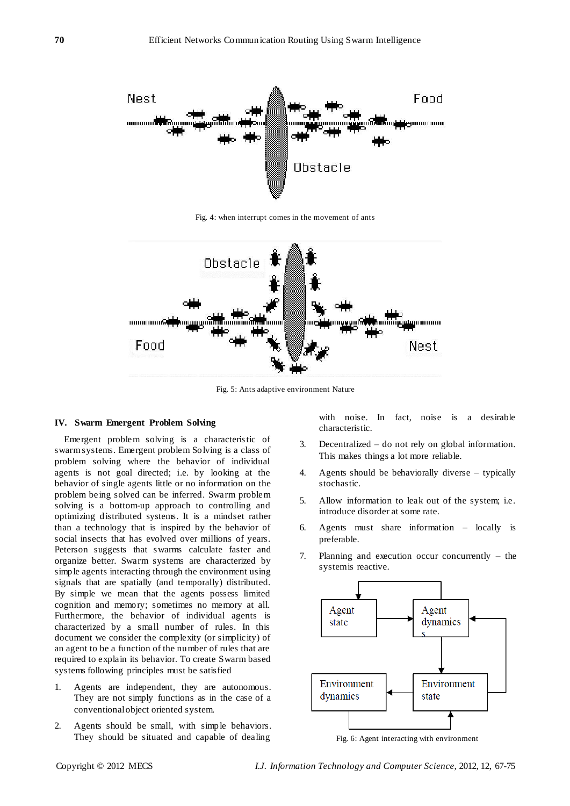

Fig. 4: when interrupt comes in the movement of ants



Fig. 5: Ants adaptive environment Nature

### **IV. Swarm Emergent Problem Solving**

Emergent problem solving is a characteristic of swarm systems. Emergent problem Solving is a class of problem solving where the behavior of individual agents is not goal directed; i.e. by looking at the behavior of single agents little or no information on the problem being solved can be inferred. Swarm problem solving is a bottom-up approach to controlling and optimizing distributed systems. It is a mindset rather than a technology that is inspired by the behavior of social insects that has evolved over millions of years. Peterson suggests that swarms calculate faster and organize better. Swarm systems are characterized by simple agents interacting through the environment using signals that are spatially (and temporally) distributed. By simple we mean that the agents possess limited cognition and memory; sometimes no memory at all. Furthermore, the behavior of individual agents is characterized by a small number of rules. In this document we consider the complexity (or simplicity) of an agent to be a function of the number of rules that are required to explain its behavior. To create Swarm based systems following principles must be satisfied

- 1. Agents are independent, they are autonomous. They are not simply functions as in the case of a conventional object oriented system.
- 2. Agents should be small, with simple behaviors. They should be situated and capable of dealing

with noise. In fact, noise is a desirable characteristic.

- 3. Decentralized do not rely on global information. This makes things a lot more reliable.
- 4. Agents should be behaviorally diverse typically stochastic.
- 5. Allow information to leak out of the system; i.e. introduce disorder at some rate.
- 6. Agents must share information locally is preferable.
- 7. Planning and execution occur concurrently the system is reactive.



Fig. 6: Agent interacting with environment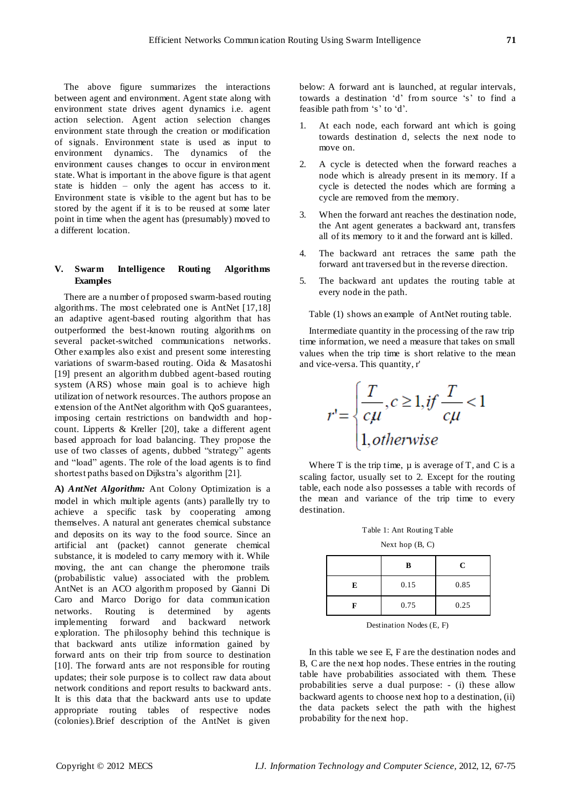The above figure summarizes the interactions between agent and environment. Agent state along with environment state drives agent dynamics i.e. agent action selection. Agent action selection changes environment state through the creation or modification of signals. Environment state is used as input to environment dynamics. The dynamics of the environment causes changes to occur in environment state. What is important in the above figure is that agent state is hidden – only the agent has access to it. Environment state is visible to the agent but has to be stored by the agent if it is to be reused at some later point in time when the agent has (presumably) moved to a different location.

# **V. Swarm Intelligence Routing Algorithms Examples**

There are a number of proposed swarm-based routing algorithms. The most celebrated one is AntNet [17,18] an adaptive agent-based routing algorithm that has outperformed the best-known routing algorithms on several packet-switched communications networks. Other examples also exist and present some interesting variations of swarm-based routing. Oida & Masatoshi [19] present an algorithm dubbed agent-based routing system (ARS) whose main goal is to achieve high utilization of network resources. The authors propose an extension of the AntNet algorithm with QoS guarantees, imposing certain restrictions on bandwidth and hopcount. Lipperts & Kreller [20], take a different agent based approach for load balancing. They propose the use of two classes of agents, dubbed "strategy" agents and "load" agents. The role of the load agents is to find shortest paths based on Dijkstra's algorithm [21].

**A)** *AntNet Algorithm:* Ant Colony Optimization is a model in which multiple agents (ants) parallelly try to achieve a specific task by cooperating among themselves. A natural ant generates chemical substance and deposits on its way to the food source. Since an artificial ant (packet) cannot generate chemical substance, it is modeled to carry memory with it. While moving, the ant can change the pheromone trails (probabilistic value) associated with the problem. AntNet is an ACO algorithm proposed by Gianni Di Caro and Marco Dorigo for data communication networks. Routing is determined by agents implementing forward and backward network exploration. The philosophy behind this technique is that backward ants utilize information gained by forward ants on their trip from source to destination [10]. The forward ants are not responsible for routing updates; their sole purpose is to collect raw data about network conditions and report results to backward ants. It is this data that the backward ants use to update appropriate routing tables of respective nodes (colonies).Brief description of the AntNet is given

below: A forward ant is launched, at regular intervals, towards a destination 'd' from source 's' to find a feasible path from 's' to 'd'.

- 1. At each node, each forward ant which is going towards destination d, selects the next node to move on.
- 2. A cycle is detected when the forward reaches a node which is already present in its memory. If a cycle is detected the nodes which are forming a cycle are removed from the memory.
- 3. When the forward ant reaches the destination node, the Ant agent generates a backward ant, transfers all of its memory to it and the forward ant is killed.
- 4. The backward ant retraces the same path the forward ant traversed but in the reverse direction.
- 5. The backward ant updates the routing table at every node in the path.

Table (1) shows an example of AntNet routing table.

Intermediate quantity in the processing of the raw trip time information, we need a measure that takes on small values when the trip time is short relative to the mean and vice-versa. This quantity, r'

$$
r' = \begin{cases} \frac{T}{c\mu}, c \ge 1, if \frac{T}{c\mu} < 1\\ 1, otherwise \end{cases}
$$

Where  $T$  is the trip time,  $\mu$  is average of  $T$ , and  $C$  is a scaling factor, usually set to 2. Except for the routing table, each node also possesses a table with records of the mean and variance of the trip time to every destination.

Table 1: Ant Routing Table Next hop (B, C)

|   | В    | C    |
|---|------|------|
| E | 0.15 | 0.85 |
| F | 0.75 | 0.25 |

Destination Nodes (E, F)

In this table we see E, F are the destination nodes and B, C are the next hop nodes. These entries in the routing table have probabilities associated with them. These probabilities serve a dual purpose: - (i) these allow backward agents to choose next hop to a destination, (ii) the data packets select the path with the highest probability for the next hop.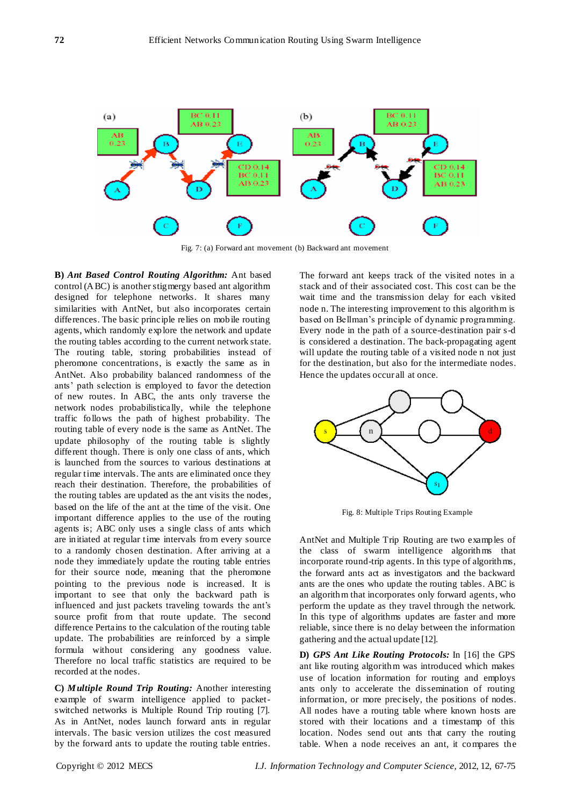

Fig. 7: (a) Forward ant movement (b) Backward ant movement

**B)** *Ant Based Control Routing Algorithm:* Ant based control (ABC) is another stigmergy based ant algorithm designed for telephone networks. It shares many similarities with AntNet, but also incorporates certain differences. The basic principle relies on mobile routing agents, which randomly explore the network and update the routing tables according to the current network state. The routing table, storing probabilities instead of pheromone concentrations, is exactly the same as in AntNet. Also probability balanced randomness of the ants' path selection is employed to favor the detection of new routes. In ABC, the ants only traverse the network nodes probabilistically, while the telephone traffic follows the path of highest probability. The routing table of every node is the same as AntNet. The update philosophy of the routing table is slightly different though. There is only one class of ants, which is launched from the sources to various destinations at regular time intervals. The ants are eliminated once they reach their destination. Therefore, the probabilities of the routing tables are updated as the ant visits the nodes, based on the life of the ant at the time of the visit. One important difference applies to the use of the routing agents is; ABC only uses a single class of ants which are initiated at regular time intervals from every source to a randomly chosen destination. After arriving at a node they immediately update the routing table entries for their source node, meaning that the pheromone pointing to the previous node is increased. It is important to see that only the backward path is influenced and just packets traveling towards the ant's source profit from that route update. The second difference Pertains to the calculation of the routing table update. The probabilities are reinforced by a simple formula without considering any goodness value. Therefore no local traffic statistics are required to be recorded at the nodes.

**C)** *Multiple Round Trip Routing:* Another interesting example of swarm intelligence applied to packetswitched networks is Multiple Round Trip routing [7]. As in AntNet, nodes launch forward ants in regular intervals. The basic version utilizes the cost measured by the forward ants to update the routing table entries.

The forward ant keeps track of the visited notes in a stack and of their associated cost. This cost can be the wait time and the transmission delay for each visited node n. The interesting improvement to this algorithm is based on Bellman's principle of dynamic programming. Every node in the path of a source-destination pair s-d is considered a destination. The back-propagating agent will update the routing table of a visited node n not just for the destination, but also for the intermediate nodes. Hence the updates occur all at once.



Fig. 8: Multiple Trips Routing Example

AntNet and Multiple Trip Routing are two examples of the class of swarm intelligence algorithms that incorporate round-trip agents. In this type of algorithms, the forward ants act as investigators and the backward ants are the ones who update the routing tables. ABC is an algorithm that incorporates only forward agents, who perform the update as they travel through the network. In this type of algorithms updates are faster and more reliable, since there is no delay between the information gathering and the actual update [12].

**D)** *GPS Ant Like Routing Protocols:* In [16] the GPS ant like routing algorithm was introduced which makes use of location information for routing and employs ants only to accelerate the dissemination of routing information, or more precisely, the positions of nodes. All nodes have a routing table where known hosts are stored with their locations and a timestamp of this location. Nodes send out ants that carry the routing table. When a node receives an ant, it compares the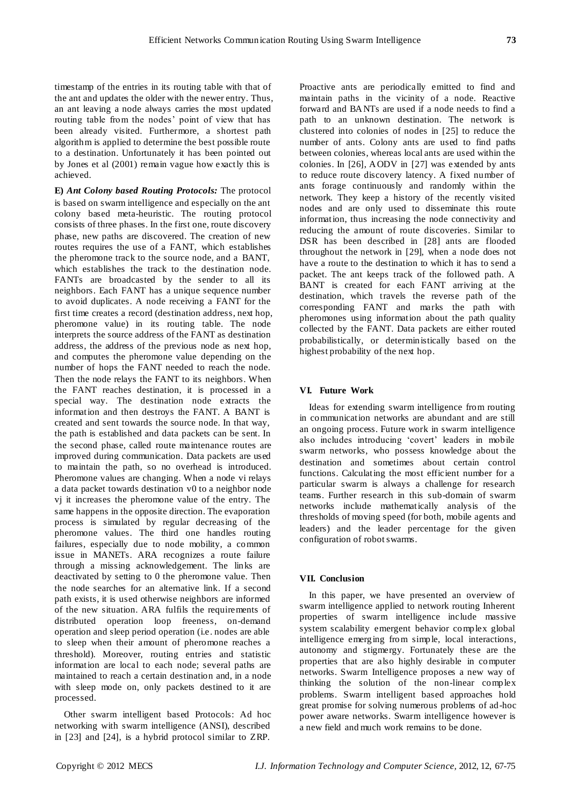timestamp of the entries in its routing table with that of the ant and updates the older with the newer entry. Thus, an ant leaving a node always carries the most updated routing table from the nodes' point of view that has been already visited. Furthermore, a shortest path algorithm is applied to determine the best possible route to a destination. Unfortunately it has been pointed out by Jones et al (2001) remain vague how exactly this is achieved.

**E)** *Ant Colony based Routing Protocols:* The protocol is based on swarm intelligence and especially on the ant colony based meta-heuristic. The routing protocol consists of three phases. In the first one, route discovery phase, new paths are discovered. The creation of new routes requires the use of a FANT, which establishes the pheromone track to the source node, and a BANT, which establishes the track to the destination node. FANTs are broadcasted by the sender to all its neighbors. Each FANT has a unique sequence number to avoid duplicates. A node receiving a FANT for the first time creates a record (destination address, next hop, pheromone value) in its routing table. The node interprets the source address of the FANT as destination address, the address of the previous node as next hop, and computes the pheromone value depending on the number of hops the FANT needed to reach the node. Then the node relays the FANT to its neighbors. When the FANT reaches destination, it is processed in a special way. The destination node extracts the information and then destroys the FANT. A BANT is created and sent towards the source node. In that way, the path is established and data packets can be sent. In the second phase, called route maintenance routes are improved during communication. Data packets are used to maintain the path, so no overhead is introduced. Pheromone values are changing. When a node vi relays a data packet towards destination v0 to a neighbor node vj it increases the pheromone value of the entry. The same happens in the opposite direction. The evaporation process is simulated by regular decreasing of the pheromone values. The third one handles routing failures, especially due to node mobility, a common issue in MANETs. ARA recognizes a route failure through a missing acknowledgement. The links are deactivated by setting to 0 the pheromone value. Then the node searches for an alternative link. If a second path exists, it is used otherwise neighbors are informed of the new situation. ARA fulfils the requirements of distributed operation loop freeness, on-demand operation and sleep period operation (i.e. nodes are able to sleep when their amount of pheromone reaches a threshold). Moreover, routing entries and statistic information are local to each node; several paths are maintained to reach a certain destination and, in a node with sleep mode on, only packets destined to it are processed.

Other swarm intelligent based Protocols: Ad hoc networking with swarm intelligence (ANSI), described in [23] and [24], is a hybrid protocol similar to ZRP.

Proactive ants are periodically emitted to find and maintain paths in the vicinity of a node. Reactive forward and BANTs are used if a node needs to find a path to an unknown destination. The network is clustered into colonies of nodes in [25] to reduce the number of ants. Colony ants are used to find paths between colonies, whereas local ants are used within the colonies. In [26], AODV in [27] was extended by ants to reduce route discovery latency. A fixed number of ants forage continuously and randomly within the network. They keep a history of the recently visited nodes and are only used to disseminate this route information, thus increasing the node connectivity and reducing the amount of route discoveries. Similar to DSR has been described in [28] ants are flooded throughout the network in [29], when a node does not have a route to the destination to which it has to send a packet. The ant keeps track of the followed path. A BANT is created for each FANT arriving at the destination, which travels the reverse path of the corresponding FANT and marks the path with pheromones using information about the path quality collected by the FANT. Data packets are either routed probabilistically, or deterministically based on the highest probability of the next hop.

## **VI. Future Work**

Ideas for extending swarm intelligence from routing in communication networks are abundant and are still an ongoing process. Future work in swarm intelligence also includes introducing 'covert' leaders in mobile swarm networks, who possess knowledge about the destination and sometimes about certain control functions. Calculating the most efficient number for a particular swarm is always a challenge for research teams. Further research in this sub-domain of swarm networks include mathematically analysis of the thresholds of moving speed (for both, mobile agents and leaders) and the leader percentage for the given configuration of robot swarms.

#### **VII. Conclusion**

In this paper, we have presented an overview of swarm intelligence applied to network routing Inherent properties of swarm intelligence include massive system scalability emergent behavior complex global intelligence emerging from simple, local interactions, autonomy and stigmergy. Fortunately these are the properties that are also highly desirable in computer networks. Swarm Intelligence proposes a new way of thinking the solution of the non-linear complex problems. Swarm intelligent based approaches hold great promise for solving numerous problems of ad-hoc power aware networks. Swarm intelligence however is a new field and much work remains to be done.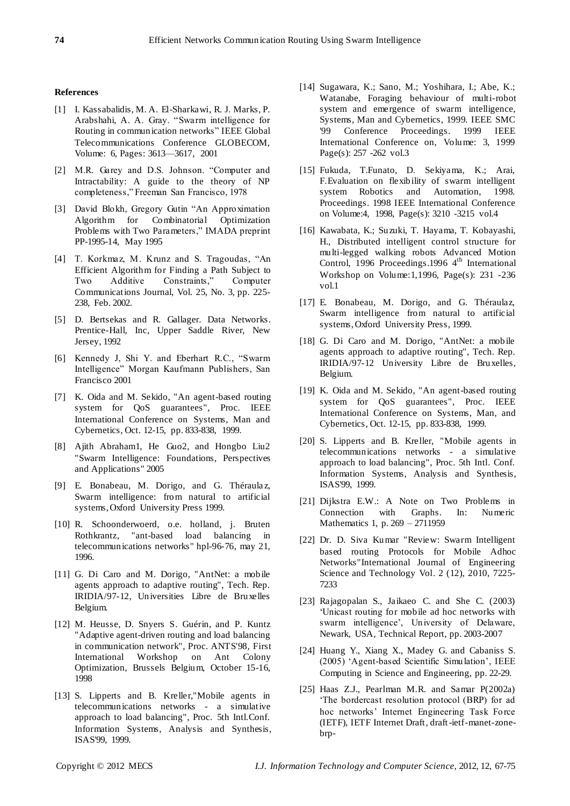#### **References**

- [1] I. Kassabalidis, M. A. El-Sharkawi, R. J. Marks, P. Arabshahi, A. A. Gray. "Swarm intelligence for Routing in communication networks" IEEE Global Telecommunications Conference GLOBECOM, Volume: 6, Pages: 3613—3617, 2001
- [2] M.R. Garey and D.S. Johnson. "Computer and Intractability: A guide to the theory of NP completeness," Freeman San Francisco, 1978
- [3] David Blokh, Gregory Gutin "An Approximation" Algorithm for Combinatorial Optimization Problems with Two Parameters," IMADA preprint PP-1995-14, May 1995
- [4] T. Korkmaz, M. Krunz and S. Tragoudas, "An Efficient Algorithm for Finding a Path Subject to<br>Two Additive Constraints," Computer Additive Constraints," Communications Journal, Vol. 25, No. 3, pp. 225- 238, Feb. 2002.
- [5] D. Bertsekas and R. Gallager. Data Networks. Prentice-Hall, Inc, Upper Saddle River, New Jersey, 1992
- [6] Kennedy J, Shi Y. and Eberhart R.C., "Swarm Intelligence" Morgan Kaufmann Publishers, San Francisco 2001
- [7] K. Oida and M. Sekido, "An agent-based routing system for QoS guarantees", Proc. IEEE International Conference on Systems, Man and Cybernetics, Oct. 12-15, pp. 833-838, 1999.
- [8] Ajith Abraham1, He Guo2, and Hongbo Liu2 "Swarm Intelligence: Foundations, Perspectives and Applications" 2005
- [9] E. Bonabeau, M. Dorigo, and G. Théraula z, Swarm intelligence: from natural to artificial systems, Oxford University Press 1999.
- [10] R. Schoonderwoerd, o.e. holland, j. Bruten Rothkrantz, "ant-based load balancing in telecommunications networks" hpl-96-76, may 21, 1996.
- [11] G. Di Caro and M. Dorigo, "AntNet: a mobile agents approach to adaptive routing", Tech. Rep. IRIDIA/97-12, Universities Libre de Bruxelles Belgium.
- [12] M. Heusse, D. Snyers S. Guérin, and P. Kuntz "Adaptive agent-driven routing and load balancing in communication network", Proc. ANTS'98, First International Workshop on Ant Colony Optimization, Brussels Belgium, October 15-16, 1998
- [13] S. Lipperts and B. Kreller,"Mobile agents in telecommunications networks - a simulative approach to load balancing", Proc. 5th Intl.Conf. Information Systems, Analysis and Synthesis, ISAS'99, 1999.
- [14] Sugawara, K.; Sano, M.; Yoshihara, I.; Abe, K.; Watanabe, Foraging behaviour of multi-robot system and emergence of swarm intelligence, Systems, Man and Cybernetics, 1999. IEEE SMC '99 Conference Proceedings. 1999 IEEE International Conference on, Volume: 3, 1999 Page(s): 257 -262 vol.3
- [15] Fukuda, T.Funato, D. Sekiyama, K.; Arai, F.Evaluation on flexibility of swarm intelligent system Robotics and Automation, 1998. Proceedings. 1998 IEEE International Conference on Volume:4, 1998, Page(s): 3210 -3215 vol.4
- [16] Kawabata, K.; Suzuki, T. Hayama, T. Kobayashi, H., Distributed intelligent control structure for multi-legged walking robots Advanced Motion Control, 1996 Proceedings.1996  $4<sup>th</sup>$  International Workshop on Volume:1,1996, Page(s): 231 -236 vol.1
- [17] E. Bonabeau, M. Dorigo, and G. Théraulaz, Swarm intelligence from natural to artificial systems, Oxford University Press, 1999.
- [18] G. Di Caro and M. Dorigo, "AntNet: a mobile agents approach to adaptive routing", Tech. Rep. IRIDIA/97-12 University Libre de Bruxelles, Belgium.
- [19] K. Oida and M. Sekido, "An agent-based routing system for QoS guarantees", Proc. IEEE International Conference on Systems, Man, and Cybernetics, Oct. 12-15, pp. 833-838, 1999.
- [20] S. Lipperts and B. Kreller, "Mobile agents in telecommunications networks - a simulative approach to load balancing", Proc. 5th Intl. Conf. Information Systems, Analysis and Synthesis, ISAS'99, 1999.
- [21] Dijkstra E.W.: A Note on Two Problems in Connection with Graphs. In: Numeric Mathematics 1, p. 269 – 2711959
- [22] Dr. D. Siva Kumar "Review: Swarm Intelligent based routing Protocols for Mobile Adhoc Networks"International Journal of Engineering Science and Technology Vol. 2 (12), 2010, 7225- 7233
- [23] Rajagopalan S., Jaikaeo C. and She C. (2003) ‗Unicast routing for mobile ad hoc networks with swarm intelligence', University of Delaware, Newark, USA, Technical Report, pp. 2003-2007
- [24] Huang Y., Xiang X., Madey G. and Cabaniss S. (2005) ‗Agent-based Scientific Simulation', IEEE Computing in Science and Engineering, pp. 22-29.
- [25] Haas Z.J., Pearlman M.R. and Samar P(2002a) ‗The bordercast resolution protocol (BRP) for ad hoc networks' Internet Engineering Task Force (IETF), IETF Internet Draft, draft-ietf-manet-zonebrp-